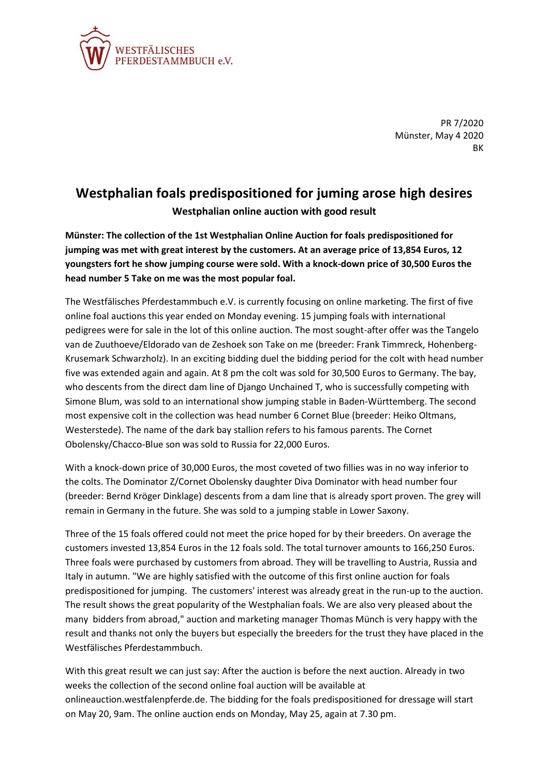

PR 7/2020 Münster, May 4 2020 BK

## **Westphalian foals predispositioned for juming arose high desires Westphalian online auction with good result**

**Münster: The collection of the 1st Westphalian Online Auction for foals predispositioned for jumping was met with great interest by the customers. At an average price of 13,854 Euros, 12 youngsters fort he show jumping course were sold. With a knock-down price of 30,500 Euros the head number 5 Take on me was the most popular foal.**

The Westfälisches Pferdestammbuch e.V. is currently focusing on online marketing. The first of five online foal auctions this year ended on Monday evening. 15 jumping foals with international pedigrees were for sale in the lot of this online auction. The most sought-after offer was the Tangelo van de Zuuthoeve/Eldorado van de Zeshoek son Take on me (breeder: Frank Timmreck, Hohenberg-Krusemark Schwarzholz). In an exciting bidding duel the bidding period for the colt with head number five was extended again and again. At 8 pm the colt was sold for 30,500 Euros to Germany. The bay, who descents from the direct dam line of Django Unchained T, who is successfully competing with Simone Blum, was sold to an international show jumping stable in Baden-Württemberg. The second most expensive colt in the collection was head number 6 Cornet Blue (breeder: Heiko Oltmans, Westerstede). The name of the dark bay stallion refers to his famous parents. The Cornet Obolensky/Chacco-Blue son was sold to Russia for 22,000 Euros.

With a knock-down price of 30,000 Euros, the most coveted of two fillies was in no way inferior to the colts. The Dominator Z/Cornet Obolensky daughter Diva Dominator with head number four (breeder: Bernd Kröger Dinklage) descents from a dam line that is already sport proven. The grey will remain in Germany in the future. She was sold to a jumping stable in Lower Saxony.

Three of the 15 foals offered could not meet the price hoped for by their breeders. On average the customers invested 13,854 Euros in the 12 foals sold. The total turnover amounts to 166,250 Euros. Three foals were purchased by customers from abroad. They will be travelling to Austria, Russia and Italy in autumn. "We are highly satisfied with the outcome of this first online auction for foals predispositioned for jumping. The customers' interest was already great in the run-up to the auction. The result shows the great popularity of the Westphalian foals. We are also very pleased about the many bidders from abroad," auction and marketing manager Thomas Münch is very happy with the result and thanks not only the buyers but especially the breeders for the trust they have placed in the Westfälisches Pferdestammbuch.

With this great result we can just say: After the auction is before the next auction. Already in two weeks the collection of the second online foal auction will be available at onlineauction.westfalenpferde.de. The bidding for the foals predispositioned for dressage will start on May 20, 9am. The online auction ends on Monday, May 25, again at 7.30 pm.